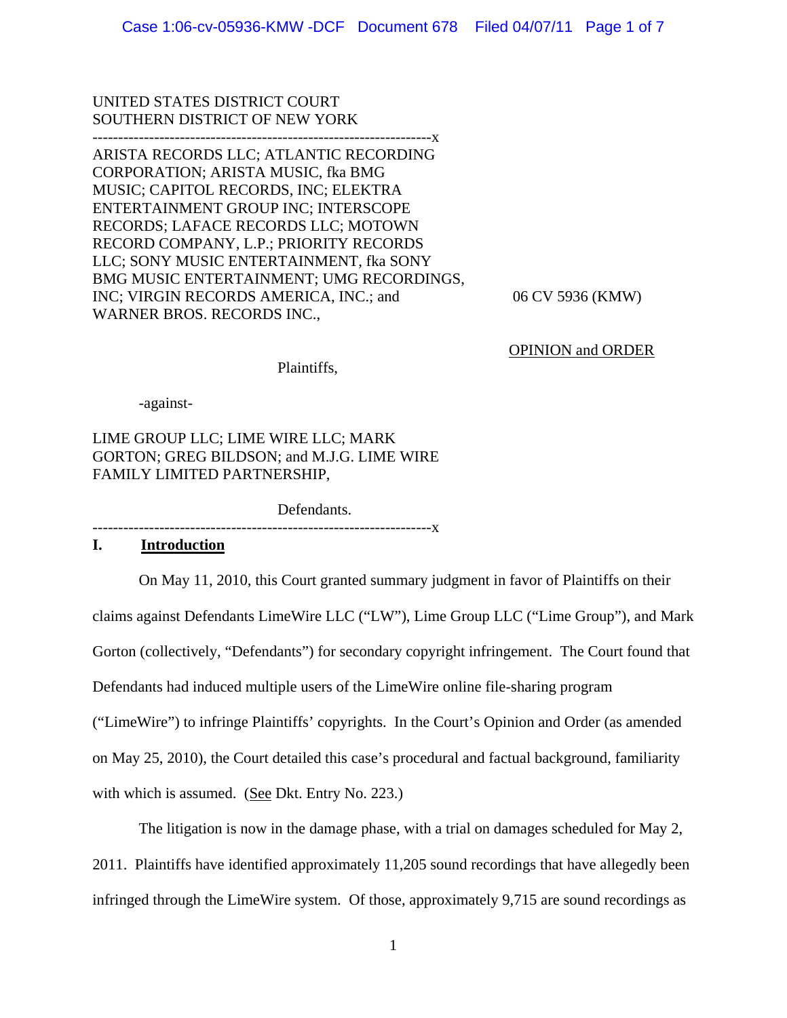UNITED STATES DISTRICT COURT SOUTHERN DISTRICT OF NEW YORK

------------------------------------------------------------------x

ARISTA RECORDS LLC; ATLANTIC RECORDING CORPORATION; ARISTA MUSIC, fka BMG MUSIC; CAPITOL RECORDS, INC; ELEKTRA ENTERTAINMENT GROUP INC; INTERSCOPE RECORDS; LAFACE RECORDS LLC; MOTOWN RECORD COMPANY, L.P.; PRIORITY RECORDS LLC; SONY MUSIC ENTERTAINMENT, fka SONY BMG MUSIC ENTERTAINMENT; UMG RECORDINGS, INC; VIRGIN RECORDS AMERICA, INC.; and 06 CV 5936 (KMW) WARNER BROS. RECORDS INC.,

OPINION and ORDER

Plaintiffs,

-against-

LIME GROUP LLC; LIME WIRE LLC; MARK GORTON; GREG BILDSON; and M.J.G. LIME WIRE FAMILY LIMITED PARTNERSHIP,

Defendants.

------------------------------------------------------------------x

## **I. Introduction**

On May 11, 2010, this Court granted summary judgment in favor of Plaintiffs on their

claims against Defendants LimeWire LLC ("LW"), Lime Group LLC ("Lime Group"), and Mark

Gorton (collectively, "Defendants") for secondary copyright infringement. The Court found that

Defendants had induced multiple users of the LimeWire online file-sharing program

("LimeWire") to infringe Plaintiffs' copyrights. In the Court's Opinion and Order (as amended

on May 25, 2010), the Court detailed this case's procedural and factual background, familiarity

with which is assumed. (See Dkt. Entry No. 223.)

The litigation is now in the damage phase, with a trial on damages scheduled for May 2,

2011. Plaintiffs have identified approximately 11,205 sound recordings that have allegedly been

infringed through the LimeWire system. Of those, approximately 9,715 are sound recordings as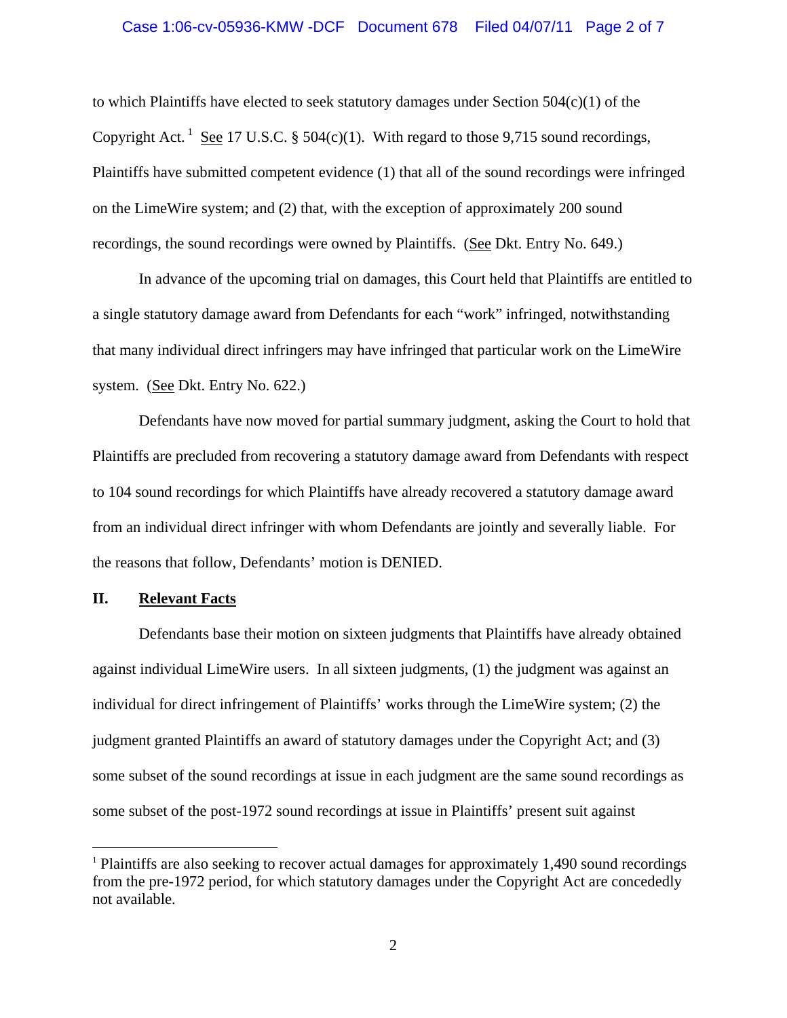#### Case 1:06-cv-05936-KMW -DCF Document 678 Filed 04/07/11 Page 2 of 7

to which Plaintiffs have elected to seek statutory damages under Section  $504(c)(1)$  of the Copyright Act.<sup>1</sup> See 17 U.S.C. § 504(c)(1). With regard to those 9,715 sound recordings, Plaintiffs have submitted competent evidence (1) that all of the sound recordings were infringed on the LimeWire system; and (2) that, with the exception of approximately 200 sound recordings, the sound recordings were owned by Plaintiffs. (See Dkt. Entry No. 649.)

 In advance of the upcoming trial on damages, this Court held that Plaintiffs are entitled to a single statutory damage award from Defendants for each "work" infringed, notwithstanding that many individual direct infringers may have infringed that particular work on the LimeWire system. (See Dkt. Entry No. 622.)

 Defendants have now moved for partial summary judgment, asking the Court to hold that Plaintiffs are precluded from recovering a statutory damage award from Defendants with respect to 104 sound recordings for which Plaintiffs have already recovered a statutory damage award from an individual direct infringer with whom Defendants are jointly and severally liable. For the reasons that follow, Defendants' motion is DENIED.

## **II. Relevant Facts**

 $\overline{a}$ 

 Defendants base their motion on sixteen judgments that Plaintiffs have already obtained against individual LimeWire users. In all sixteen judgments, (1) the judgment was against an individual for direct infringement of Plaintiffs' works through the LimeWire system; (2) the judgment granted Plaintiffs an award of statutory damages under the Copyright Act; and (3) some subset of the sound recordings at issue in each judgment are the same sound recordings as some subset of the post-1972 sound recordings at issue in Plaintiffs' present suit against

<sup>&</sup>lt;sup>1</sup> Plaintiffs are also seeking to recover actual damages for approximately 1,490 sound recordings from the pre-1972 period, for which statutory damages under the Copyright Act are concededly not available.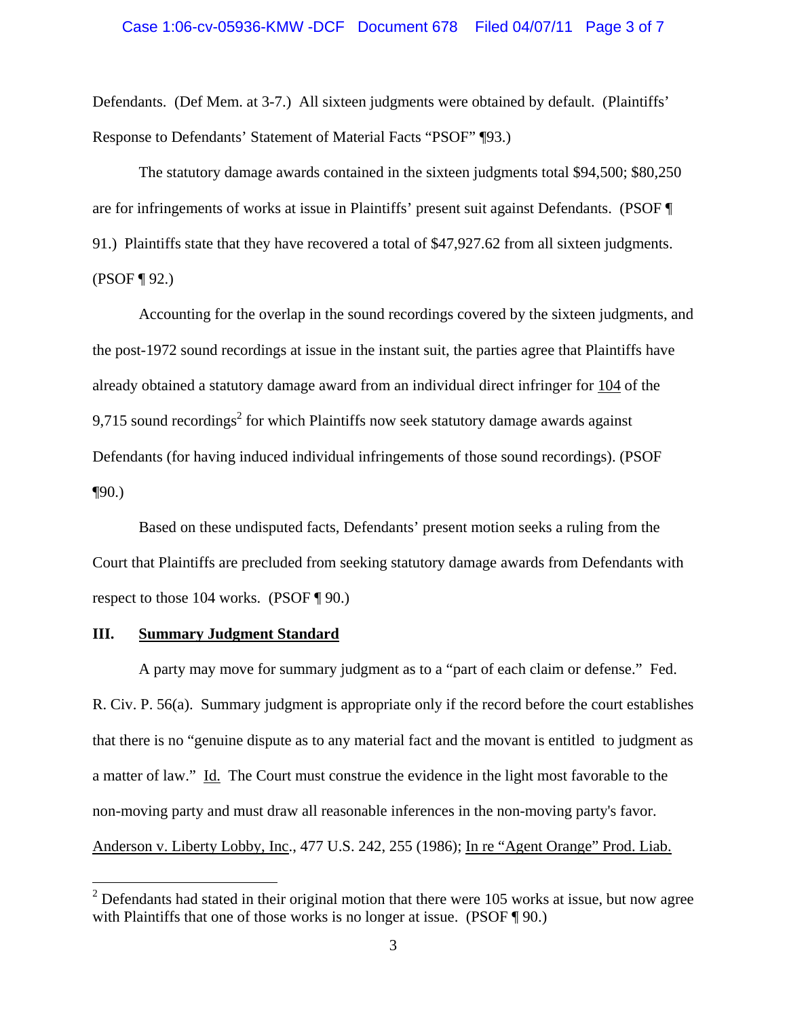Defendants. (Def Mem. at 3-7.) All sixteen judgments were obtained by default. (Plaintiffs' Response to Defendants' Statement of Material Facts "PSOF" ¶93.)

 The statutory damage awards contained in the sixteen judgments total \$94,500; \$80,250 are for infringements of works at issue in Plaintiffs' present suit against Defendants. (PSOF ¶ 91.) Plaintiffs state that they have recovered a total of \$47,927.62 from all sixteen judgments. (PSOF ¶ 92.)

Accounting for the overlap in the sound recordings covered by the sixteen judgments, and the post-1972 sound recordings at issue in the instant suit, the parties agree that Plaintiffs have already obtained a statutory damage award from an individual direct infringer for 104 of the 9,715 sound recordings<sup>2</sup> for which Plaintiffs now seek statutory damage awards against Defendants (for having induced individual infringements of those sound recordings). (PSOF  $\P 90.$ 

Based on these undisputed facts, Defendants' present motion seeks a ruling from the Court that Plaintiffs are precluded from seeking statutory damage awards from Defendants with respect to those 104 works. (PSOF ¶ 90.)

## **III. Summary Judgment Standard**

 $\overline{a}$ 

 A party may move for summary judgment as to a "part of each claim or defense." Fed. R. Civ. P. 56(a). Summary judgment is appropriate only if the record before the court establishes that there is no "genuine dispute as to any material fact and the movant is entitled to judgment as a matter of law." Id. The Court must construe the evidence in the light most favorable to the non-moving party and must draw all reasonable inferences in the non-moving party's favor. Anderson v. Liberty Lobby, Inc., 477 U.S. 242, 255 (1986); In re "Agent Orange" Prod. Liab.

 $2$  Defendants had stated in their original motion that there were 105 works at issue, but now agree with Plaintiffs that one of those works is no longer at issue. (PSOF ¶ 90.)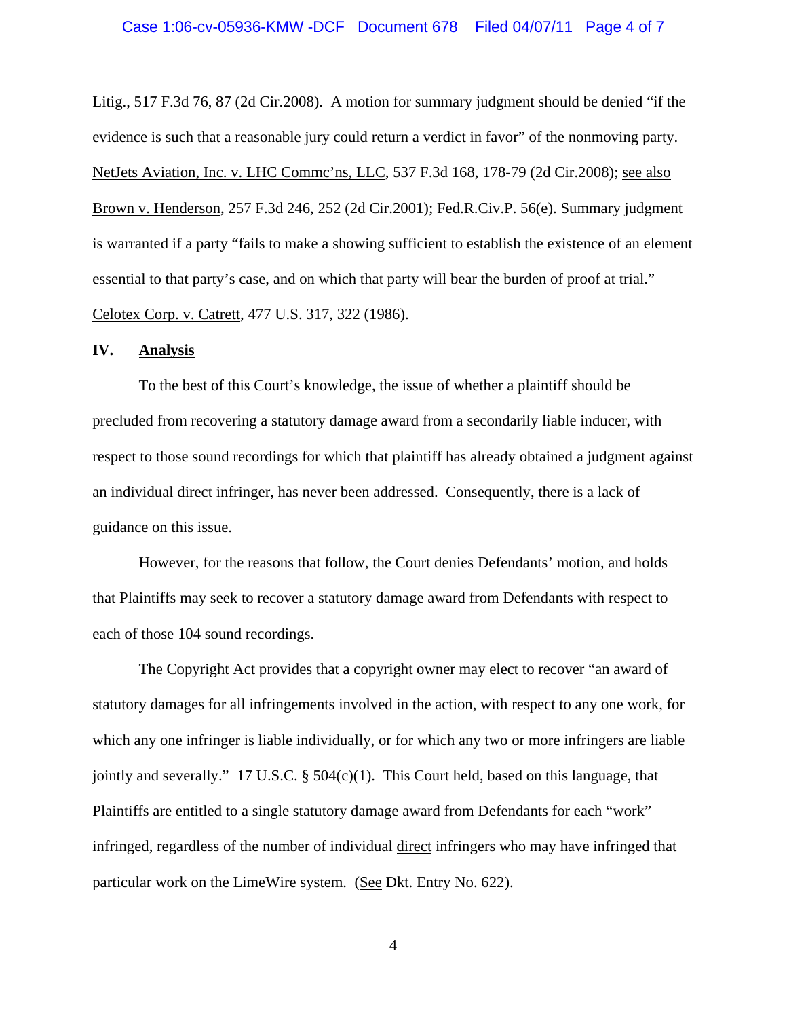#### Case 1:06-cv-05936-KMW -DCF Document 678 Filed 04/07/11 Page 4 of 7

Litig., 517 F.3d 76, 87 (2d Cir.2008). A motion for summary judgment should be denied "if the evidence is such that a reasonable jury could return a verdict in favor" of the nonmoving party. NetJets Aviation, Inc. v. LHC Commc'ns, LLC, 537 F.3d 168, 178-79 (2d Cir.2008); see also Brown v. Henderson, 257 F.3d 246, 252 (2d Cir.2001); Fed.R.Civ.P. 56(e). Summary judgment is warranted if a party "fails to make a showing sufficient to establish the existence of an element essential to that party's case, and on which that party will bear the burden of proof at trial." Celotex Corp. v. Catrett, 477 U.S. 317, 322 (1986).

#### **IV. Analysis**

To the best of this Court's knowledge, the issue of whether a plaintiff should be precluded from recovering a statutory damage award from a secondarily liable inducer, with respect to those sound recordings for which that plaintiff has already obtained a judgment against an individual direct infringer, has never been addressed. Consequently, there is a lack of guidance on this issue.

However, for the reasons that follow, the Court denies Defendants' motion, and holds that Plaintiffs may seek to recover a statutory damage award from Defendants with respect to each of those 104 sound recordings.

 The Copyright Act provides that a copyright owner may elect to recover "an award of statutory damages for all infringements involved in the action, with respect to any one work, for which any one infringer is liable individually, or for which any two or more infringers are liable jointly and severally." 17 U.S.C.  $\S$  504(c)(1). This Court held, based on this language, that Plaintiffs are entitled to a single statutory damage award from Defendants for each "work" infringed, regardless of the number of individual direct infringers who may have infringed that particular work on the LimeWire system. (See Dkt. Entry No. 622).

4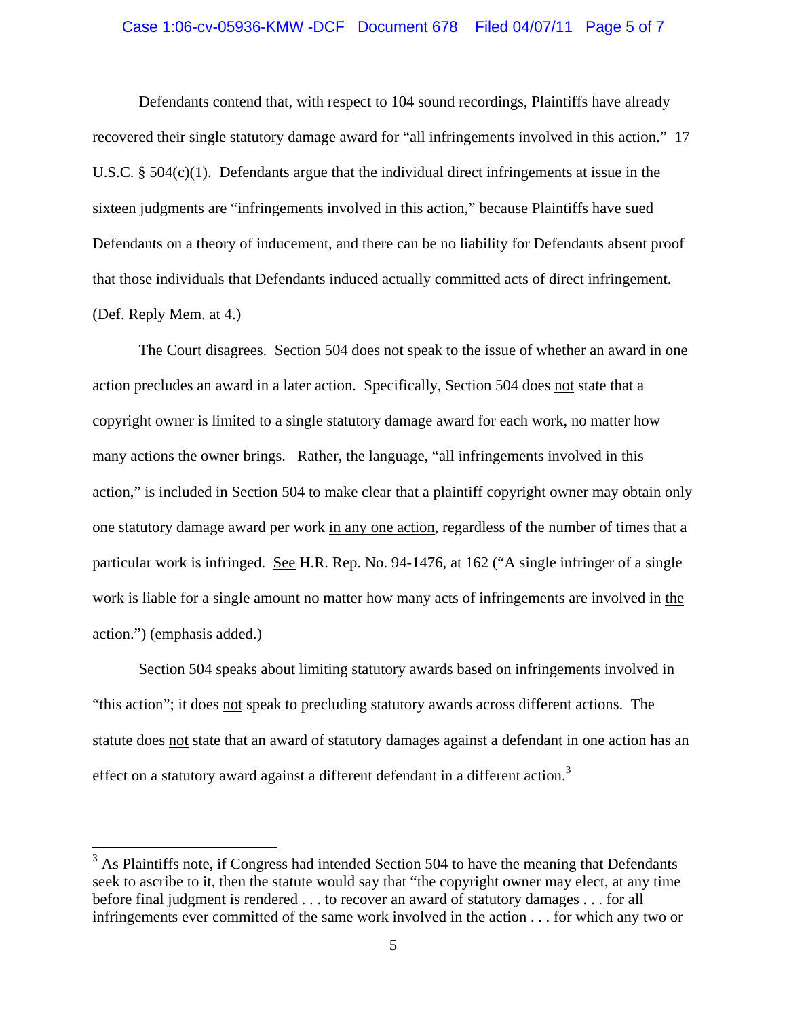#### Case 1:06-cv-05936-KMW -DCF Document 678 Filed 04/07/11 Page 5 of 7

 Defendants contend that, with respect to 104 sound recordings, Plaintiffs have already recovered their single statutory damage award for "all infringements involved in this action." 17 U.S.C.  $\S$  504(c)(1). Defendants argue that the individual direct infringements at issue in the sixteen judgments are "infringements involved in this action," because Plaintiffs have sued Defendants on a theory of inducement, and there can be no liability for Defendants absent proof that those individuals that Defendants induced actually committed acts of direct infringement. (Def. Reply Mem. at 4.)

 The Court disagrees. Section 504 does not speak to the issue of whether an award in one action precludes an award in a later action. Specifically, Section 504 does not state that a copyright owner is limited to a single statutory damage award for each work, no matter how many actions the owner brings. Rather, the language, "all infringements involved in this action," is included in Section 504 to make clear that a plaintiff copyright owner may obtain only one statutory damage award per work in any one action, regardless of the number of times that a particular work is infringed. See H.R. Rep. No. 94-1476, at 162 ("A single infringer of a single work is liable for a single amount no matter how many acts of infringements are involved in the action.") (emphasis added.)

 Section 504 speaks about limiting statutory awards based on infringements involved in "this action"; it does not speak to precluding statutory awards across different actions. The statute does not state that an award of statutory damages against a defendant in one action has an effect on a statutory award against a different defendant in a different action.<sup>3</sup>

 $\overline{a}$ 

 $3$  As Plaintiffs note, if Congress had intended Section 504 to have the meaning that Defendants seek to ascribe to it, then the statute would say that "the copyright owner may elect, at any time before final judgment is rendered . . . to recover an award of statutory damages . . . for all infringements ever committed of the same work involved in the action . . . for which any two or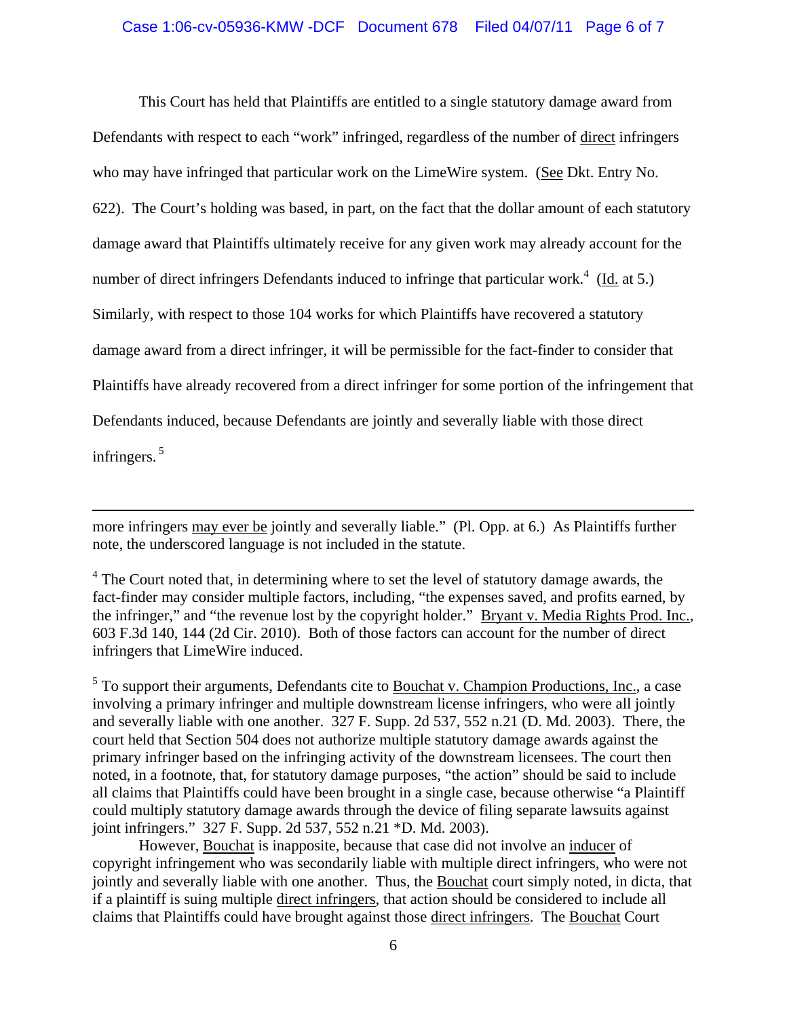## Case 1:06-cv-05936-KMW -DCF Document 678 Filed 04/07/11 Page 6 of 7

 This Court has held that Plaintiffs are entitled to a single statutory damage award from Defendants with respect to each "work" infringed, regardless of the number of direct infringers who may have infringed that particular work on the LimeWire system. (See Dkt. Entry No. 622). The Court's holding was based, in part, on the fact that the dollar amount of each statutory damage award that Plaintiffs ultimately receive for any given work may already account for the number of direct infringers Defendants induced to infringe that particular work.<sup>4</sup> (Id. at 5.) Similarly, with respect to those 104 works for which Plaintiffs have recovered a statutory damage award from a direct infringer, it will be permissible for the fact-finder to consider that Plaintiffs have already recovered from a direct infringer for some portion of the infringement that Defendants induced, because Defendants are jointly and severally liable with those direct infringers. 5

more infringers may ever be jointly and severally liable." (Pl. Opp. at 6.) As Plaintiffs further note, the underscored language is not included in the statute.

 $\overline{a}$ 

 $4$  The Court noted that, in determining where to set the level of statutory damage awards, the fact-finder may consider multiple factors, including, "the expenses saved, and profits earned, by the infringer," and "the revenue lost by the copyright holder." Bryant v. Media Rights Prod. Inc., 603 F.3d 140, 144 (2d Cir. 2010). Both of those factors can account for the number of direct infringers that LimeWire induced.

 $<sup>5</sup>$  To support their arguments, Defendants cite to **Bouchat v. Champion Productions, Inc.**, a case</sup> involving a primary infringer and multiple downstream license infringers, who were all jointly and severally liable with one another. 327 F. Supp. 2d 537, 552 n.21 (D. Md. 2003). There, the court held that Section 504 does not authorize multiple statutory damage awards against the primary infringer based on the infringing activity of the downstream licensees. The court then noted, in a footnote, that, for statutory damage purposes, "the action" should be said to include all claims that Plaintiffs could have been brought in a single case, because otherwise "a Plaintiff could multiply statutory damage awards through the device of filing separate lawsuits against joint infringers." 327 F. Supp. 2d 537, 552 n.21 \*D. Md. 2003).

 However, Bouchat is inapposite, because that case did not involve an inducer of copyright infringement who was secondarily liable with multiple direct infringers, who were not jointly and severally liable with one another. Thus, the Bouchat court simply noted, in dicta, that if a plaintiff is suing multiple direct infringers, that action should be considered to include all claims that Plaintiffs could have brought against those direct infringers. The Bouchat Court